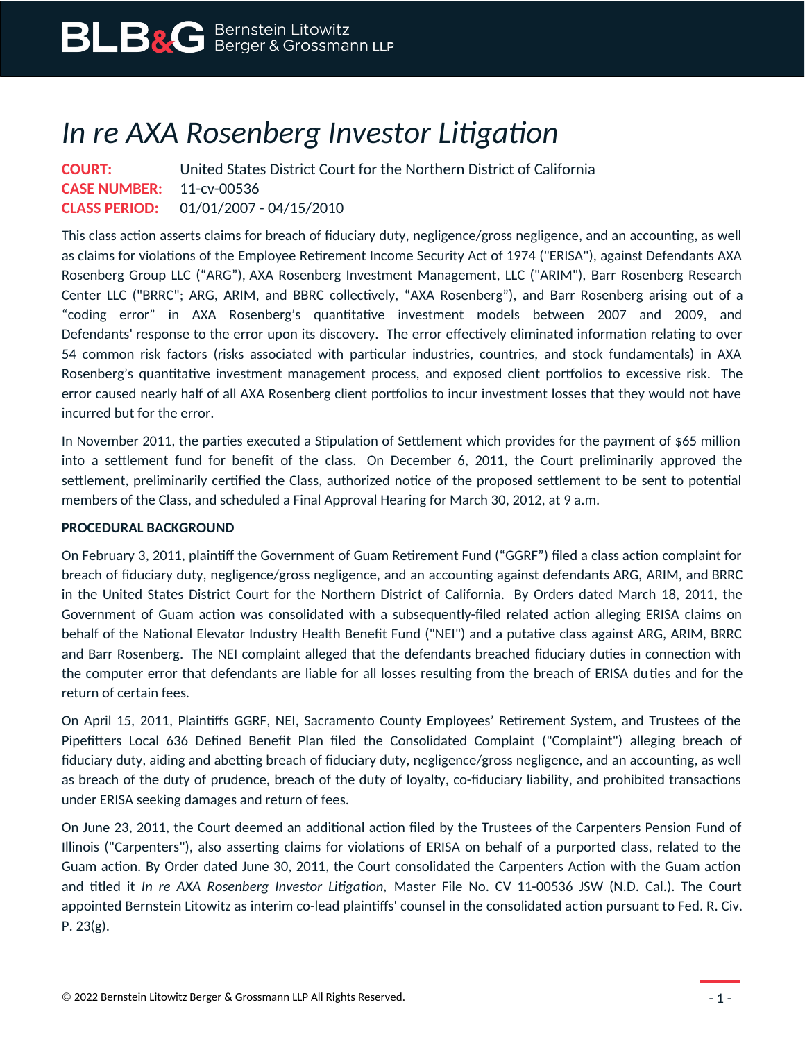## *In re AXA Rosenberg Investor Litigation*

**COURT:** United States District Court for the Northern District of California **CASE NUMBER:** 11-cv-00536 **CLASS PERIOD:** 01/01/2007 - 04/15/2010

This class action asserts claims for breach of fiduciary duty, negligence/gross negligence, and an accounting, as well as claims for violations of the Employee Retirement Income Security Act of 1974 ("ERISA"), against Defendants AXA Rosenberg Group LLC ("ARG"), AXA Rosenberg Investment Management, LLC ("ARIM"), Barr Rosenberg Research Center LLC ("BRRC"; ARG, ARIM, and BBRC collectively, "AXA Rosenberg"), and Barr Rosenberg arising out of a "coding error" in AXA Rosenberg's quantitative investment models between 2007 and 2009, and Defendants' response to the error upon its discovery. The error effectively eliminated information relating to over 54 common risk factors (risks associated with particular industries, countries, and stock fundamentals) in AXA Rosenberg's quantitative investment management process, and exposed client portfolios to excessive risk. The error caused nearly half of all AXA Rosenberg client portfolios to incur investment losses that they would not have incurred but for the error.

In November 2011, the parties executed a Stipulation of Settlement which provides for the payment of \$65 million into a settlement fund for benefit of the class. On December 6, 2011, the Court preliminarily approved the settlement, preliminarily certified the Class, authorized notice of the proposed settlement to be sent to potential members of the Class, and scheduled a Final Approval Hearing for March 30, 2012, at 9 a.m.

## **PROCEDURAL BACKGROUND**

On February 3, 2011, plaintiff the Government of Guam Retirement Fund ("GGRF") filed a class action complaint for breach of fiduciary duty, negligence/gross negligence, and an accounting against defendants ARG, ARIM, and BRRC in the United States District Court for the Northern District of California. By Orders dated March 18, 2011, the Government of Guam action was consolidated with a subsequently-filed related action alleging ERISA claims on behalf of the National Elevator Industry Health Benefit Fund ("NEI") and a putative class against ARG, ARIM, BRRC and Barr Rosenberg. The NEI complaint alleged that the defendants breached fiduciary duties in connection with the computer error that defendants are liable for all losses resulting from the breach of ERISA duties and for the return of certain fees.

On April 15, 2011, Plaintiffs GGRF, NEI, Sacramento County Employees' Retirement System, and Trustees of the Pipefitters Local 636 Defined Benefit Plan filed the Consolidated Complaint ("Complaint") alleging breach of fiduciary duty, aiding and abetting breach of fiduciary duty, negligence/gross negligence, and an accounting, as well as breach of the duty of prudence, breach of the duty of loyalty, co-fiduciary liability, and prohibited transactions under ERISA seeking damages and return of fees.

On June 23, 2011, the Court deemed an additional action filed by the Trustees of the Carpenters Pension Fund of Illinois ("Carpenters"), also asserting claims for violations of ERISA on behalf of a purported class, related to the Guam action. By Order dated June 30, 2011, the Court consolidated the Carpenters Action with the Guam action and titled it *In re AXA Rosenberg Investor Litigation,* Master File No. CV 11-00536 JSW (N.D. Cal.). The Court appointed Bernstein Litowitz as interim co-lead plaintiffs' counsel in the consolidated action pursuant to Fed. R. Civ. P. 23(g).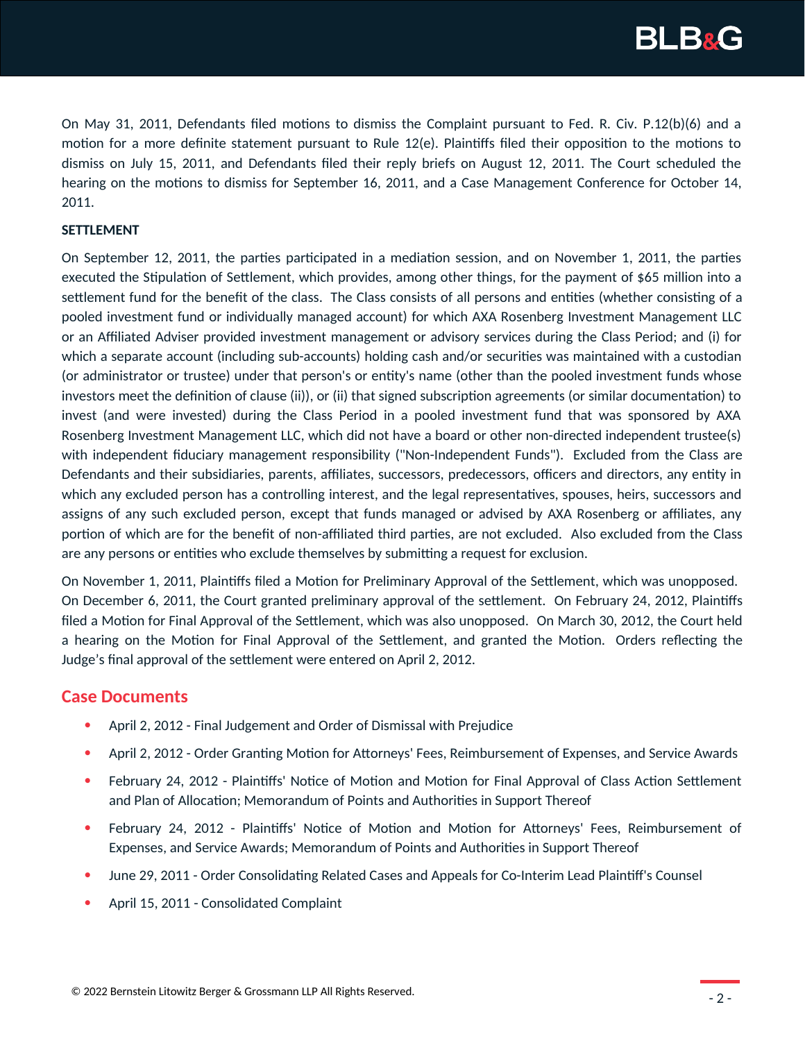

On May 31, 2011, Defendants filed motions to dismiss the Complaint pursuant to Fed. R. Civ. P.12(b)(6) and a motion for a more definite statement pursuant to Rule 12(e). Plaintiffs filed their opposition to the motions to dismiss on July 15, 2011, and Defendants filed their reply briefs on August 12, 2011. The Court scheduled the hearing on the motions to dismiss for September 16, 2011, and a Case Management Conference for October 14, 2011.

## **SETTLEMENT**

On September 12, 2011, the parties participated in a mediation session, and on November 1, 2011, the parties executed the Stipulation of Settlement, which provides, among other things, for the payment of \$65 million into a settlement fund for the benefit of the class. The Class consists of all persons and entities (whether consisting of a pooled investment fund or individually managed account) for which AXA Rosenberg Investment Management LLC or an Affiliated Adviser provided investment management or advisory services during the Class Period; and (i) for which a separate account (including sub-accounts) holding cash and/or securities was maintained with a custodian (or administrator or trustee) under that person's or entity's name (other than the pooled investment funds whose investors meet the definition of clause (ii)), or (ii) that signed subscription agreements (or similar documentation) to invest (and were invested) during the Class Period in a pooled investment fund that was sponsored by AXA Rosenberg Investment Management LLC, which did not have a board or other non-directed independent trustee(s) with independent fiduciary management responsibility ("Non-Independent Funds"). Excluded from the Class are Defendants and their subsidiaries, parents, affiliates, successors, predecessors, officers and directors, any entity in which any excluded person has a controlling interest, and the legal representatives, spouses, heirs, successors and assigns of any such excluded person, except that funds managed or advised by AXA Rosenberg or affiliates, any portion of which are for the benefit of non-affiliated third parties, are not excluded. Also excluded from the Class are any persons or entities who exclude themselves by submitting a request for exclusion.

On November 1, 2011, Plaintiffs filed a Motion for Preliminary Approval of the Settlement, which was unopposed. On December 6, 2011, the Court granted preliminary approval of the settlement. On February 24, 2012, Plaintiffs filed a Motion for Final Approval of the Settlement, which was also unopposed. On March 30, 2012, the Court held a hearing on the Motion for Final Approval of the Settlement, and granted the Motion. Orders reflecting the Judge's final approval of the settlement were entered on April 2, 2012.

## **Case Documents**

- April 2, 2012 Final Judgement and Order of Dismissal with Prejudice
- April 2, 2012 Order Granting Motion for Attorneys' Fees, Reimbursement of Expenses, and Service Awards
- February 24, 2012 Plaintiffs' Notice of Motion and Motion for Final Approval of Class Action Settlement and Plan of Allocation; Memorandum of Points and Authorities in Support Thereof
- February 24, 2012 Plaintiffs' Notice of Motion and Motion for Attorneys' Fees, Reimbursement of Expenses, and Service Awards; Memorandum of Points and Authorities in Support Thereof
- June 29, 2011 Order Consolidating Related Cases and Appeals for Co-Interim Lead Plaintiff's Counsel
- April 15, 2011 Consolidated Complaint